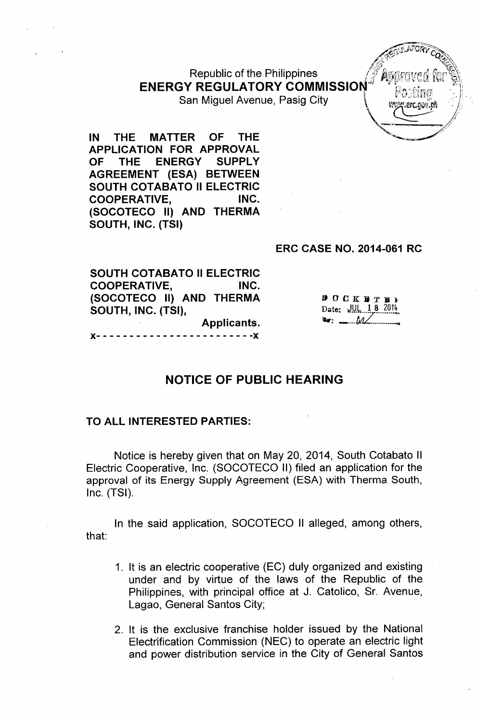**Republic of the Philippines ENERGY REGULATORY COMMISSION** San Miguel Avenue, Pasig City

IN THE MATTER OF THE APPLICATION FOR APPROVAL OF THE ENERGY SUPPLY AGREEMENT (ESA) BETWEEN SOUTH COTABATO II ELECTRIC COOPERATIVE, INC. (SOCOTECO II) AND THERMA SOUTH, INC. (TSI)

#### ERC CASE NO. 2014-061 RC

".erc.oon.n

 $B$  O  $C K B T$ Date: *JUL 18 2014* 

 $\bullet$  :  $\bullet$  .  $\bullet$  .  $\bullet$  .  $\bullet$  .  $\bullet$  .  $\bullet$  .  $\bullet$  .  $\bullet$  .  $\bullet$  .  $\bullet$  .  $\bullet$  .  $\bullet$  .  $\bullet$  .  $\bullet$  .  $\bullet$  .  $\bullet$  .  $\bullet$  .  $\bullet$  .  $\bullet$  .  $\bullet$  .  $\bullet$  .  $\bullet$  .  $\bullet$  .  $\bullet$  .  $\bullet$  .  $\bullet$  .  $\bullet$  .  $\bullet$  .  $\bullet$  .  $\bullet$  .  $\bullet$ 

SOUTH COTABATO II ELECTRIC COOPERATIVE, INC. (SOCOTECO II) AND THERMA SOUTH, INC. (TSI), Applicants.

)(- - - - - - - - - - - - - - - - - - - - - - - -)(

# NOTICE OF PUBLIC HEARING

#### TO ALL INTERESTED PARTIES:

Notice is hereby given that on May 20, 2014, South Cotabato II Electric Cooperative, Inc. (SOCOTECO II) filed an application for the approval of its Energy Supply Agreement (ESA) with Therma South, Inc. (TSI).

In the said application, SOCOTECO II alleged, among others, that:

- 1. It is an electric cooperative (EC) duly organized and existing under and by virtue of the laws of the Republic of the Philippines, with principal office at J. Catolico, Sr. Avenue, Lagao, General Santos City;
- 2. It is the exclusive franchise holder issued by the National Electrification Commission (NEC) to operate an electric light and power distribution service in the City of General Santos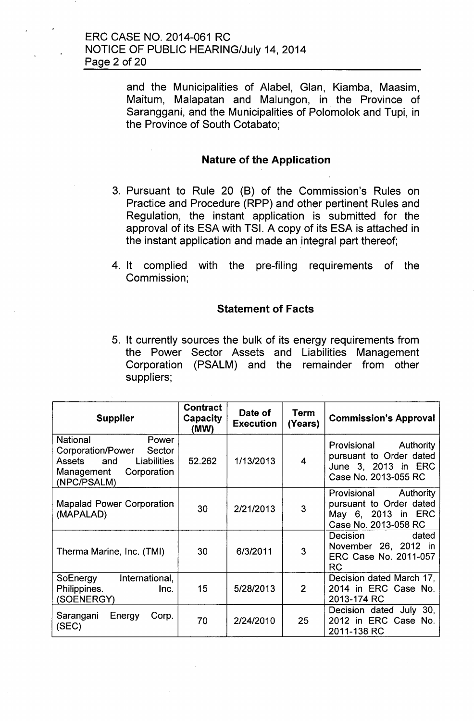and the Municipalities of Alabel, Glan, Kiamba, Maasim, Maitum, Malapatan and Malungon, in the Province of Saranggani, and the Municipalities of Polomolok and Tupi, in the Province of South Cotabato;

# Nature of the Application

- 3. Pursuant to Rule 20 (B) of the Commission's Rules on Practice and Procedure (RPP) and other pertinent Rules and Regulation, the instant application is submitted for the approval of its ESA with TSI. A copy of its ESA is attached in the instant application and made an integral part thereof;
- 4. It complied with the pre-filing requirements of the Commission;

### Statement of Facts

5. It currently sources the bulk of its energy requirements from the Power Sector Assets and Liabilities Management Corporation (PSALM) and the remainder from other suppliers;

| <b>Supplier</b>                                                                                                                            | <b>Contract</b><br>Capacity<br>(MW) | Date of<br><b>Execution</b> | Term<br>(Years) | <b>Commission's Approval</b>                                                                       |
|--------------------------------------------------------------------------------------------------------------------------------------------|-------------------------------------|-----------------------------|-----------------|----------------------------------------------------------------------------------------------------|
| <b>National</b><br>Power<br>Corporation/Power<br>Sector<br><b>Liabilities</b><br>and<br>Assets<br>Corporation<br>Management<br>(NPC/PSALM) | 52.262                              | 1/13/2013                   | 4               | Provisional<br>Authority<br>pursuant to Order dated<br>June 3, 2013 in ERC<br>Case No. 2013-055 RC |
| <b>Mapalad Power Corporation</b><br>(MAPALAD)                                                                                              | 30                                  | 2/21/2013                   | 3               | Authority<br>Provisional<br>pursuant to Order dated<br>May 6, 2013 in ERC<br>Case No. 2013-058 RC  |
| Therma Marine, Inc. (TMI)                                                                                                                  | 30                                  | 6/3/2011                    | 3               | Decision<br>dated<br>November 26, 2012 in<br>ERC Case No. 2011-057<br><b>RC</b>                    |
| International,<br>SoEnergy<br>Philippines.<br>Inc.<br>(SOENERGY)                                                                           | 15                                  | 5/28/2013                   | 2               | Decision dated March 17,<br>2014 in ERC Case No.<br>2013-174 RC                                    |
| Energy<br>Sarangani<br>Corp.<br>(SEC)                                                                                                      | 70                                  | 2/24/2010                   | 25              | Decision dated July 30,<br>2012 in ERC Case No.<br>2011-138 RC                                     |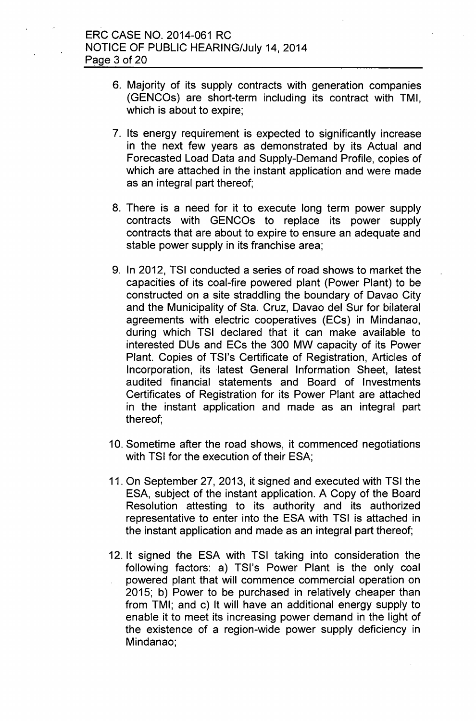- 6. Majority of its supply contracts with generation companies (GENCOs) are short-term including its contract with TMI, which is about to expire;
- 7. Its energy requirement is expected to significantly increase in the next few years as demonstrated by its Actual and Forecasted Load Data and Supply-Demand Profile, copies of which are attached in the instant application and were made as an integral part thereof;
- 8. There is a need for it to execute long term power supply contracts with GENCOs to replace its power supply contracts that are about to expire to ensure an adequate and stable power supply in its franchise area;
- 9. In 2012, TSI conducted a series of road shows to market the capacities of its coal-fire powered plant (Power Plant) to be constructed on a site straddling the boundary of Davao City and the Municipality of Sta. Cruz, Davao del Sur for bilateral agreements with electric cooperatives (ECs) in Mindanao, during which TSI declared that it can make available to interested DUs and ECs the 300 MW capacity of its Power Plant. Copies of TSI's Certificate of Registration, Articles of Incorporation, its latest General Information Sheet, latest audited financial statements and Board of Investments Certificates of Registration for its Power Plant are attached in the instant application and made as an integral part thereof;
- 10. Sometime after the road shows, it commenced negotiations with TSI for the execution of their ESA;
- 11. On September 27,2013, it signed and executed with TSI the ESA, subject of the instant application. A Copy of the Board Resolution attesting to its authority and its authorized representative to enter into the ESA with TSI is attached in the instant application and made as an integral part thereof;
- 12. It signed the ESA with TSI taking into consideration the following factors: a) TSl's Power Plant is the only coal powered plant that will commence commercial operation on 2015; b) Power to be purchased in relatively cheaper than from TMI; and c) It will have an additional energy supply to enable it to meet its increasing power demand in the light of the existence of a region-wide power supply deficiency in Mindanao;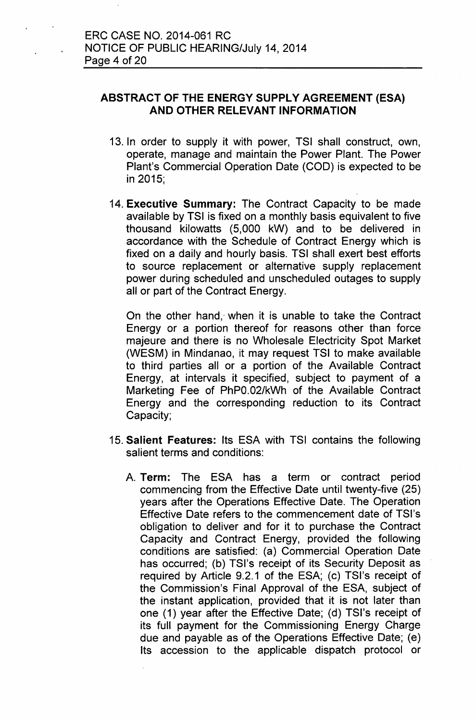# **ABSTRACT OF THE ENERGY SUPPLY AGREEMENT (ESA) AND OTHER RELEVANT INFORMATION**

- 13. In order to supply it with power, TSI shall construct, own, operate, manage and maintain the Power Plant. The Power Plant's Commercial Operation Date (COD) is expected to be in 2015;
- 14. **Executive Summary:** The Contract Capacity to be made available by TSI is fixed on a monthly basis equivalent to five thousand kilowatts (5,000 kW) and to be delivered in accordance with the Schedule of Contract Energy which is fixed on a daily and hourly basis. TSI shall exert best efforts to source replacement or alternative supply replacement power during scheduled and unscheduled outages to supply all or part of the Contract Energy.

On the other hand,' when it is unable to take the Contract Energy or a portion thereof for reasons other than force majeure and there is no Wholesale Electricity Spot Market (WESM) in Mindanao, it may request TSI to make available to third parties all or a portion of the Available Contract Energy, at intervals it specified, subject to payment of a Marketing Fee of PhPO.02/kWh of the Available Contract Energy and the corresponding reduction to its Contract Capacity;

- 15. **Salient Features:** Its ESA with TSI contains the following salient terms and conditions:
	- A. **Term:** The ESA has a term or contract period commencing from the Effective Date until twenty-five (25) years after the Operations Effective Date. The Operation Effective Date refers to the commencement date of TSl's obligation to deliver and for it to purchase the Contract Capacity and Contract Energy, provided the following conditions are satisfied: (a) Commercial Operation Date has occurred; (b) TSl's receipt of its Security Deposit as required by Article 9.2.1 of the ESA; (c) TSl's receipt of the Commission's Final Approval of the ESA, subject of the instant application, provided that it is not later than one (1) year after the Effective Date; (d) TSl's receipt of its full payment for the Commissioning Energy Charge due and payable as of the Operations Effective Date; (e) Its accession to the applicable dispatch protocol or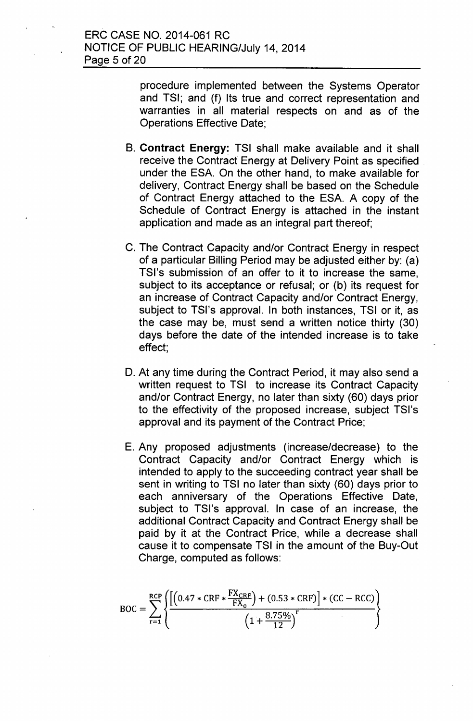procedure implemented between the Systems Operator and TSI; and (f) Its true and correct representation and warranties in all material respects on and as of the Operations Effective Date;

- B. **Contract Energy:** TSI shall make available and it shall receive the Contract Energy at Delivery Point as specified under the ESA. On the other hand, to make available for delivery, Contract Energy shall be based on the Schedule of Contract Energy attached to the ESA. A copy of the Schedule of Contract Energy is attached in the instant application and made as an integral part thereof;
- C. The Contract Capacity and/or Contract Energy in respect of a particular Billing Period may be adjusted either by: (a) TSl's submission of an offer to it to increase the same, subject to its acceptance or refusal; or (b) its request for an increase of Contract Capacity and/or Contract Energy, subject to TSl's approval. In both instances, TSI or it, as the case may be, must send a written notice thirty (30) days before the date of the intended increase is to take effect;
- D. At any time during the Contract Period, it may also send a written request to TSI to increase its Contract Capacity and/or Contract Energy, no later than sixty (60) days prior to the effectivity of the proposed increase, subject TSl's approval and its payment of the Contract Price;
- E. Any proposed adjustments (increase/decrease) to the Contract Capacity and/or Contract Energy which is intended to apply to the succeeding contract year shall be sent in writing to TSI no later than sixty (60) days prior to each anniversary of the Operations Effective Date, subject to TSI's approval. In case of an increase, the additional Contract Capacity and Contract Energy shall be paid by it at the Contract Price, while a decrease shall cause it to compensate TSI in the amount of the Buy-Out Charge, computed as follows:

$$
BOC = \sum_{r=1}^{RCP} \left\{ \frac{\left[ \left( 0.47 * CRF * \frac{FX_{CRF}}{FX_0} \right) + (0.53 * CRF) \right] * (CC - RCC)}{\left( 1 + \frac{8.75\%}{12} \right)^r} \right\}
$$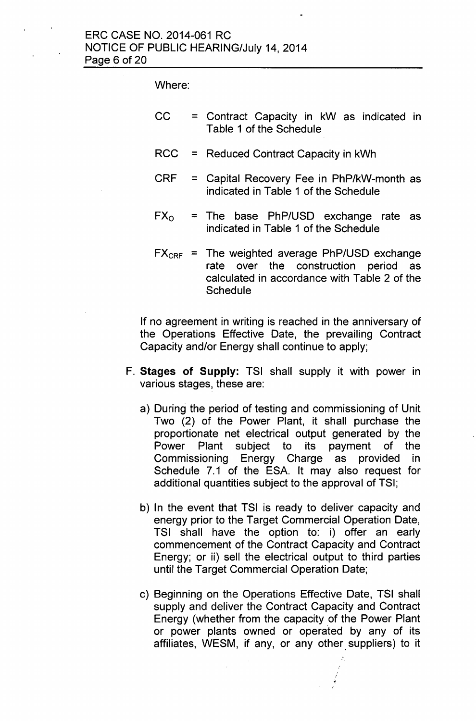Where:

- CC = Contract Capacity in kW as indicated in Table 1 of the Schedule
- RCC = Reduced Cohtract Capacity in kWh
- CRF = Capital Recovery Fee in PhP/kW-month as indicated in Table 1 of the Schedule
- $FX<sub>o</sub> = The base PhP/USD exchange rate as$ indicated in Table 1 of the Schedule
- $FX_{CRF}$  = The weighted average PhP/USD exchange rate over the construction period as calculated in accordance with Table 2 of the **Schedule**

If no agreement in writing is reached in the anniversary of the Operations Effective Date, the prevailing Contract Capacity and/or Energy shall continue to apply;

- **F. Stages of Supply:** TSI shall supply it with power in various stages, these are:
	- a) During the period of testing and commissioning of Unit Two (2) of the Power Plant, it shall purchase the proportionate net electrical output generated by the Power Plant subject to its payment of the Commissioning Energy Charge as provided in Schedule 7.1 of the ESA. It may also request for additional quantities subject to the approval of TSI;
	- b) In the event that TSI is ready to deliver capacity and energy prior to the Target Commercial Operation Date, TSI shall have the option to: i) offer an early commencement of the Contract Capacity and Contract Energy; or ii) sell the electrical output to third parties until the Target Commercial Operation Date;
	- c) Beginning on the Operations Effective Date, TSI shall supply and deliver the Contract Capacity and Contract Energy (whether from the capacity of the Power Plant or power plants owned or operated by any of its affiliates, WESM, if any, or any other suppliers) to it

-' i ,j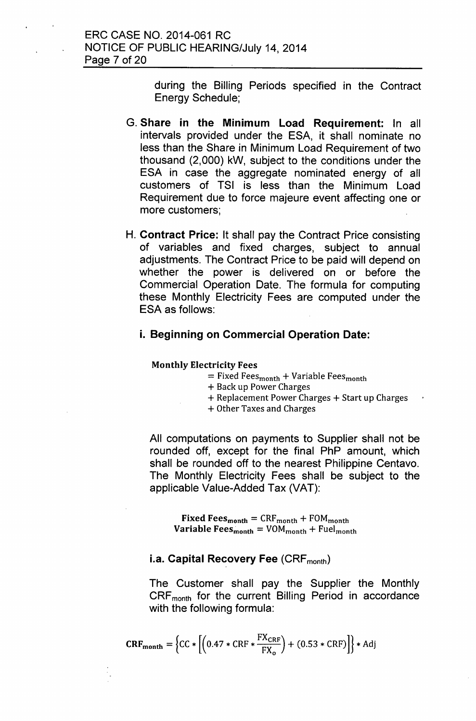during the Billing Periods specified in the Contract Energy Schedule;

- G. Share in the Minimum Load Requirement: In all intervals provided under the ESA, it shall nominate no less than the Share in Minimum Load Requirement of two thousand (2,000) kW, subject to the conditions under the ESA in case the aggregate nominated energy of all customers of TSI is less than the Minimum Load Requirement due to force majeure event affecting one or more customers;
- H. Contract Price: It shall pay the Contract Price consisting of variables and fixed charges, subject to annual adjustments. The Contract Price to be paid will depend on whether the power is delivered on or before the Commercial Operation Date. The formula for computing these Monthly Electricity Fees are computed under the ESA as follows:

# i. Beginning on Commercial Operation Date:

#### Monthly Electricity Fees

- $=$  Fixed Fees<sub>month</sub> + Variable Fees<sub>month</sub>
- + Back up Power Charges
- + Replacement Power Charges + Start up Charges
- + Other Taxes and Charges

All computations on payments to Supplier shall not be rounded off, except for the final PhP amount, which shall be rounded off to the nearest Philippine Centavo. The Monthly Electricity Fees shall be subject to the applicable Value-Added Tax (VAT):

**Fixed Fees<sub>month</sub>** =  $CRF$ <sub>month</sub> +  $FOM$ <sub>month</sub> **Variable Fees**<sub>month</sub> =  $VOM_{month}$  + Fuel<sub>month</sub>

# i.a. Capital Recovery Fee (CRF<sub>month</sub>)

The Customer shall pay the Supplier the Monthly  $CRF<sub>month</sub>$  for the current Billing Period in accordance with the following formula:

$$
\mathbf{CRF}_{\text{month}} = \left\{ \mathbf{CC} * \left[ \left( 0.47 * \mathbf{CRF} * \frac{\mathbf{FX}_{\mathbf{CRF}}}{\mathbf{FX_o}} \right) + (0.53 * \mathbf{CRF}) \right] \right\} * \text{Adj}
$$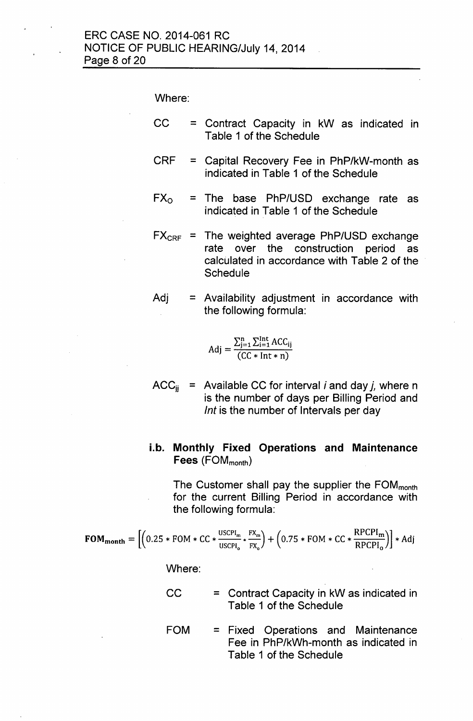Where:

- $CC =$  Contract Capacity in kW as indicated in Table 1 of the Schedule
- CRF = Capital Recovery Fee in PhP/kW-month as indicated in Table 1 of the Schedule
- $FX<sub>o</sub> = The base PhP/USD exchange rate as$ indicated in Table 1 of the Schedule
- $FX_{CRF}$  = The weighted average PhP/USD exchange rate over the construction period as calculated in accordance with Table 2 of the **Schedule**
- $Adj =$  Availability adjustment in accordance with the following formula:

$$
Adj = \frac{\sum_{j=1}^{n} \sum_{i=1}^{Int} ACC_{ij}}{(CC*Int*n)}
$$

 $ACC_{ii}$  = Available CC for interval *i* and day *j*, where n is the number of days per Billing Period and *Int* is the number of Intervals per day

# i.b. **Monthly Fixed Operations and Maintenance** Fees (FOM<sub>month</sub>)

The Customer shall pay the supplier the  $FOM_{month}$ for the current Billing Period in accordance with the following formula:

$$
FOM_{month} = \left[ \left( 0.25 * FOM * CC * \frac{\text{USCPI}_{m}}{\text{USCPI}_{o}} * \frac{FX_{m}}{FX_{o}} \right) + \left( 0.75 * FOM * CC * \frac{RPCPI_{m}}{RPCPI_{o}} \right) \right] * Adj
$$

Where:

- $CC =$  = Contract Capacity in kW as indicated in Table 1 of the Schedule
- FOM = Fixed Operations and Maintenance Fee in PhP/kWh-month as indicated in Table 1 of the Schedule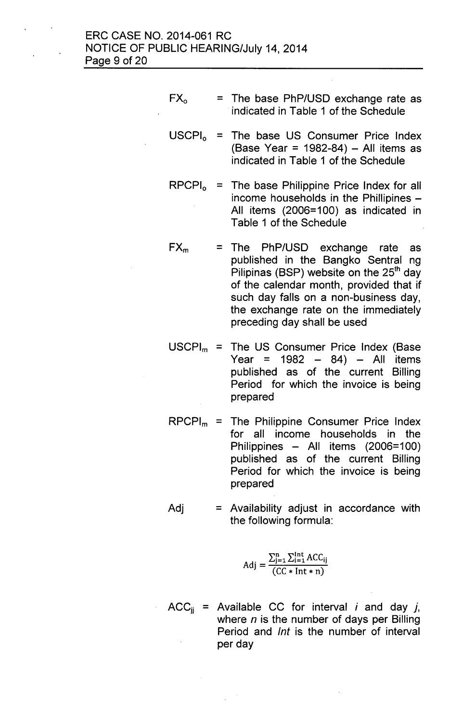- $FX_0$  = The base PhP/USD exchange rate as indicated in Table 1 of the Schedule
- $USCH<sub>o</sub>$  = The base US Consumer Price Index (Base Year = 1982-84)  $-$  All items as indicated in Table 1 of the Schedule
- $RPCPI_0$  = The base Philippine Price Index for all income households in the Phillipines -All items (2006=100) as indicated in Table 1 of the Schedule
- $FX_m = The PhP/USD exchange rate as$ published in the Bangko Sentral ng Pilipinas (BSP) website on the  $25<sup>th</sup>$  day of the calendar month, provided that if such day falls on a non-business day, the exchange rate on the immediately preceding day shall be used
- $USCPI_m =$  The US Consumer Price Index (Base Year =  $1982 - 84$  - All items published as of the current Billing Period for which the invoice is being prepared
- $RPCPI_m =$  The Philippine Consumer Price Index for all income households in the Philippines - All items (2006=100) published as of the current Billing Period for which the invoice is being prepared
- $Adj =$  Availability adjust in accordance with the following formula:

$$
Adj = \frac{\sum_{j=1}^{n} \sum_{i=1}^{Int} ACC_{ij}}{(CC*Int*n)}
$$

 $ACC_{ii}$  = Available CC for interval *i* and day *j*, where *n* is the number of days per Billing Period and *Int* is the number of interval per day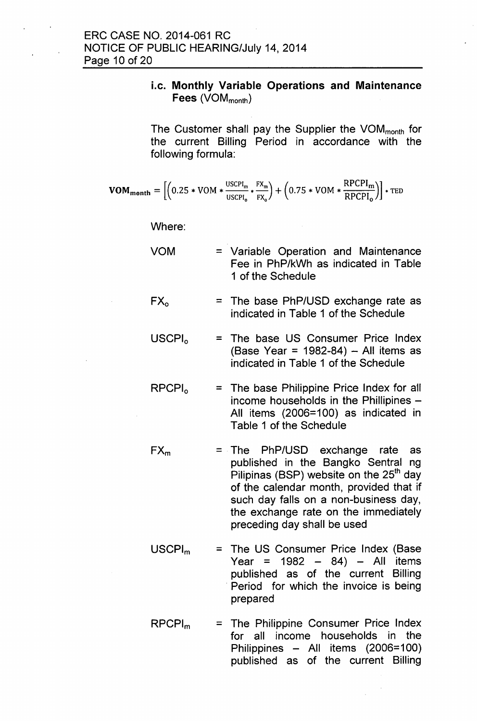# i.c. **Monthly Variable Operations and Maintenance** Fees (VOM<sub>month</sub>)

The Customer shall pay the Supplier the  $VOM_{month}$  for the current Billing Period in accordance with the following formula:

$$
\text{VOM}_{\text{month}} = \left[ \left( 0.25 * VOM * \frac{\text{USCH}_{\text{m}}}{\text{USCH}_{\text{o}}} * \frac{\text{FX}_{\text{m}}}{\text{FX}_{\text{o}}} \right) + \left( 0.75 * VOM * \frac{\text{RPCPI}_{\text{m}}}{\text{RPCPI}_{\text{o}}} \right) \right] * \text{TED}
$$

Where:

- VOM = Variable Operation and Maintenance Fee in PhP/kWh as indicated in Table 1 of the Schedule
- $FX_{o}$ = The base PhP/USD exchange rate as indicated in Table 1 of the Schedule
- $USCH<sub>o</sub>$ = The base US Consumer Price Index  $(Base Year = 1982-84) - All items as$ indicated in Table 1 of the Schedule
- $RPCPI<sub>o</sub>$  $=$  The base Philippine Price Index for all income households in the Phillipines  $-$ All items (2006=100) as indicated in Table 1 of the Schedule
- $FX_m$ = The PhP/USD exchange rate as published in the Bangko Sentral ng Pilipinas (BSP) website on the  $25<sup>th</sup>$  day of the calendar month, provided that if such day falls on a non-business day, the exchange rate on the immediately preceding day shall be used
- USCPI<sub>m</sub> = The US Consumer Price Index (Base Year =  $1982 - 84$  - All items published as of the current Billing Period for which the invoice is being prepared
- RPCPlm = The Philippine Consumer Price Index for all income households in the Philippines - All items (2006=100) published as of the current Billing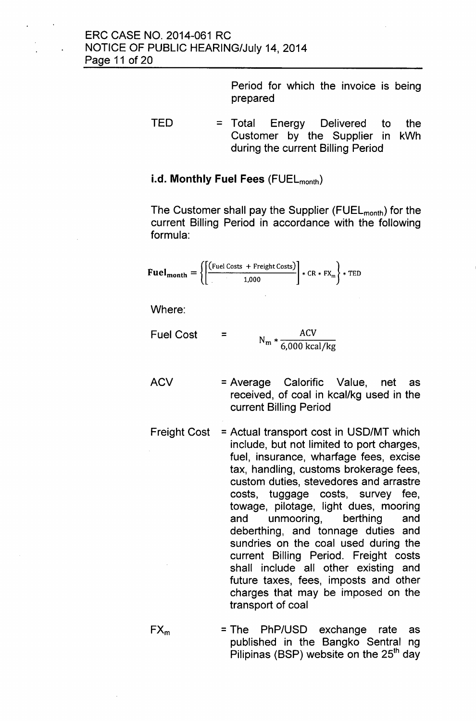Period for which the invoice is being prepared

 $TED = Total Energy Delivered to the$ Customer by the Supplier in kWh during the current Billing Period

## i.d. Monthly Fuel Fees (FUEL<sub>month</sub>)

The Customer shall pay the Supplier (FUEL<sub>month</sub>) for the current Billing Period in accordance with the following formula:

$$
\text{Full}_{\text{month}} = \left\{ \left[ \frac{\text{(Full Costs + Freight Costs)}}{1,000} \right] * \text{CR} * \text{FX}_{\text{m}} \right\} * \text{TED}
$$

Where:

Fuel Cost =  $N_m * \frac{ACV}{6,000 \text{ kcal/kg}}$ 

- ACV = Average Calorific Value, net as received, of coal in kcal/kg used in the current Billing Period
- Freight Cost = Actual transport cost in USD/MT which include, but not limited to port charges, fuel, insurance, wharfage fees, excise tax, handling, customs brokerage fees, custom duties, stevedores and arrastre costs, tuggage costs, survey fee, towage, pilotage, light dues, mooring and unmooring, berthing and deberthing, and tonnage duties and sundries on the coal used during the current Billing Period. Freight costs shall include all other existing and future taxes, fees, imposts and other charges that may be imposed on the transport of coal
- $FX_m$  = The PhP/USD exchange rate as published in the Bangko Sentral ng Pilipinas (BSP) website on the  $25<sup>th</sup>$  day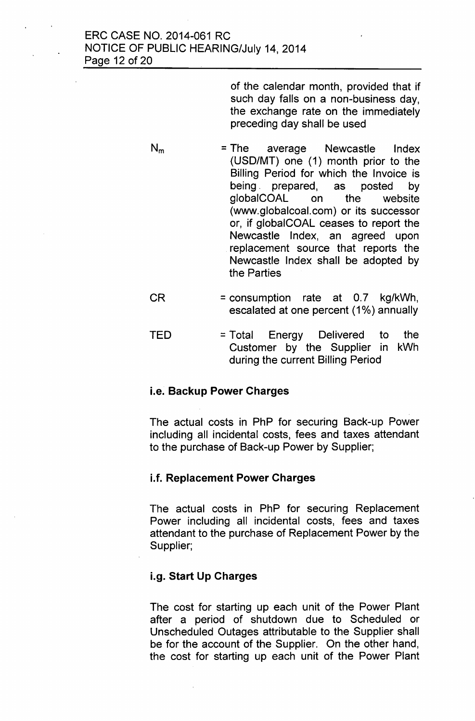of the calendar month, provided that if such day falls on a non-business day, the exchange rate on the immediately preceding day shall be used

- $N_m$  = The average Newcastle Index (USD/MT) one (1) month prior to the Billing Period for which the Invoice is being. prepared, as posted by globalCOAL on the website [\(www.globalcoal.com\)](http://www.globalcoal.com) or its successor or, if globalCOAL ceases to report the Newcastle Index, an agreed upon replacement source that reports the Newcastle Index shall be adopted by the Parties
- $CR = consumption rate at 0.7 kg/kWh,$ escalated at one percent (1%) annually
- TED = Total Energy Delivered to the Customer by the Supplier in kWh during the current Billing Period

# i.e. **Backup Power Charges**

The actual costs in PhP for securing Back-up Power including all incidental costs, fees and taxes attendant to the purchase of Back-up Power by Supplier;

# i.f. **Replacement Power Charges**

The actual costs in PhP for securing Replacement Power including all incidental costs, fees and taxes attendant to the purchase of Replacement Power by the Supplier;

# i.g. **Start Up Charges**

The cost for starting up each unit of the Power Plant after a period of shutdown due to Scheduled or Unscheduled Outages attributable to the Supplier shall be for the account of the Supplier. On the other hand, the cost for starting up each unit of the Power Plant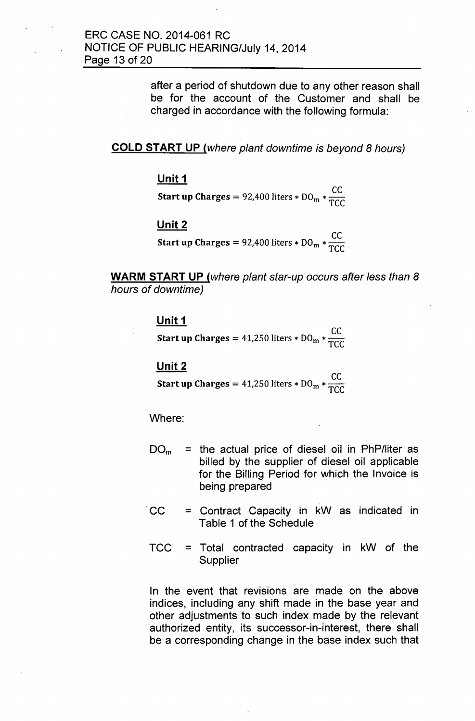after a period of shutdown due to any other reason shall be for the account of the Customer and shall be charged in accordance with the following formula:

### **COLD START UP** *(where plant downtime is beyond* 8 *hours)*

### **Unit 1**

CC **Start up Charges =** 92,400 liters \*  $DO<sub>m</sub>$  \*  $\frac{Q}{TCC}$ 

### **Unit 2**

**CC Start up Charges = 92,400 liters \* DO<sub>m</sub> \***  $\frac{00}{TC}$ 

**WARM START UP** *(where plant star-up occurs after less than 8 hours of downtime)*

# **Unit 1**

**CC Start up Charges** = 41,250 liters \*  $DO_m * T_{TCT}$ 

### **Unit2**

**CC Start up Charges = 41,250 liters \* DO<sub>m</sub> \***  $\frac{99}{700}$ 

Where:

- $DO<sub>m</sub>$  = the actual price of diesel oil in PhP/liter as billed by the supplier of diesel oil applicable for the Billing Period for which the Invoice is being prepared
- $CC =$  Contract Capacity in kW as indicated in Table 1 of the Schedule
- TCC = Total contracted capacity in kW of the Supplier

In the event that revisions are made on the above indices, including any shift made in the base year and other adjustments to such index made by the relevant authorized entity, its successor-in-interest, there shall be a corresponding change in the base index such that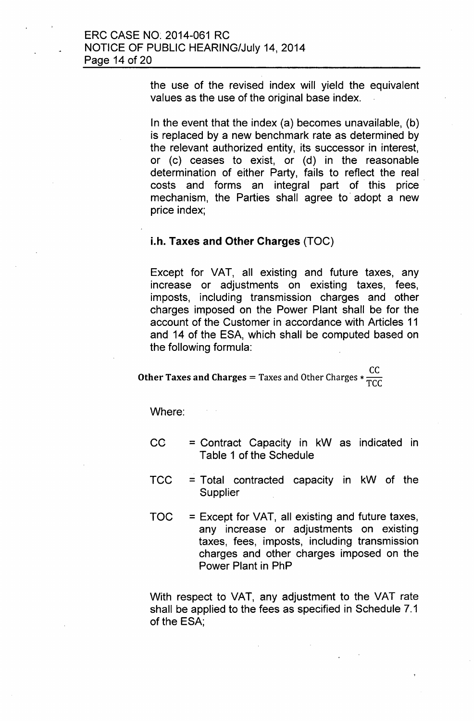the use of the revised index will yield the equivalent values as the use of the original base index.

In the event that the index (a) becomes unavailable, (b) is replaced by a new benchmark rate as determined by the relevant authorized entity, its successor in interest, or (c) ceases to exist, or (d) in the reasonable determination of either Party, fails to reflect the real costs and forms an integral part of this price. mechanism, the Parties shall agree to adopt a new price index;

### i.h. Taxes and Other Charges (TOC)

Except for VAT, all existing and future taxes, any increase or adjustments on existing taxes, fees, imposts, including transmission charges and other charges imposed on the Power Plant shall be for the account of the Customer in accordance with Articles 11 and 14 of the ESA, which shall be computed based on the following formula:

**Other Taxes and Charges =** Taxes and Other Charges  $*$   $\frac{CC}{TCG}$ 

Where:

- $CC =$  = Contract Capacity in  $kW$  as indicated in Table 1 of the Schedule
- TCC = Total contracted capacity in kW of the Supplier
- $TOC = Except for VAT$ , all existing and future taxes, any increase or adjustments on existing taxes, fees, imposts, including transmission charges and other charges imposed on the Power Plant in PhP

With respect to VAT, any adjustment to the VAT rate shall be applied to the fees as specified in Schedule 7.1 of the ESA;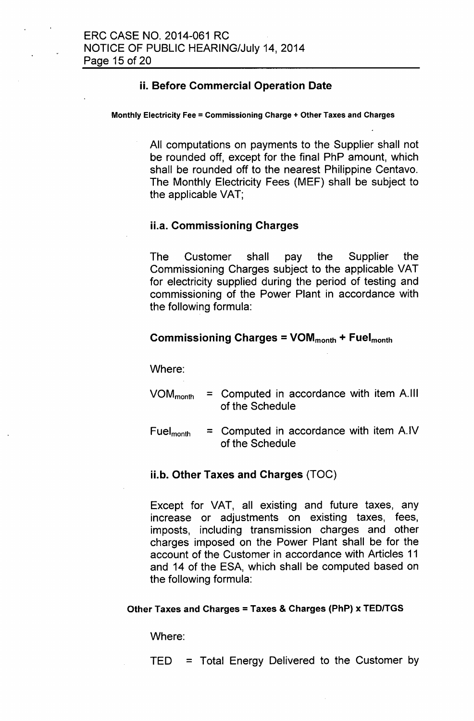# ii. Before Commercial Operation Date

#### Monthly Electricity Fee = Commissioning Charge + Other Taxes and Charges

All computations on payments to the Supplier shall not be rounded off, except for the final PhP amount, which shall be rounded off to the nearest Philippine Centavo. The Monthly Electricity Fees (MEF) shall be subject to the applicable VAT;

### ii.a. Commissioning Charges

The Customer shall pay the Supplier the Commissioning Charges subject to the applicable VAT for electricity supplied during the period of testing and commissioning of the Power Plant in accordance with the following formula:

### Commissioning Charges =  $VOM_{month} + Fuel_{month}$

Where:

- $VOM_{month}$  = Computed in accordance with item A.III of the Schedule
- Fuel<sub>month</sub> = Computed in accordance with item  $A.IV$ of the Schedule

### ii.b. Other Taxes and Charges (TOC)

Except for VAT, all existing and future taxes, any increase or adjustments on existing taxes, fees, imposts, including transmission charges and other charges imposed on the Power Plant shall be for the account of the Customer in accordance with Articles 11 and 14 of the ESA, which shall be computed based on the following formula:

### Other Taxes and Charges = Taxes & Charges (PhP) x TEDITGS

Where:

TED = Total Energy Delivered to the Customer by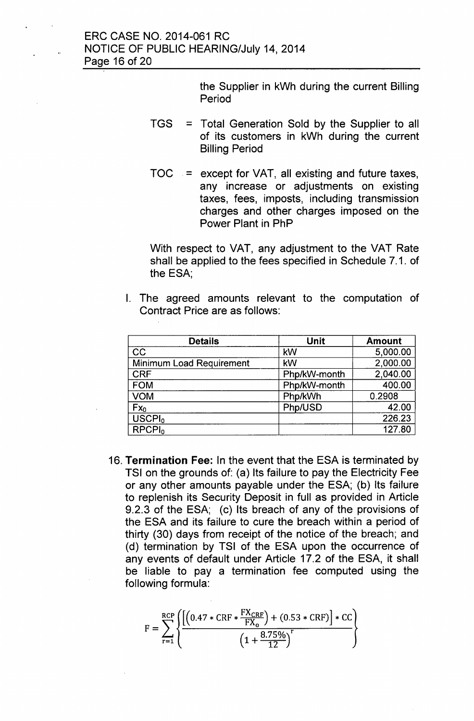the Supplier in kWh during the current Billing Period

- TGS = Total Generation Sold by the Supplier to all of its customers in kWh during the current Billing Period
- $TOC = *except for VAT*, all existing and future taxes,$ any increase or adjustments on existing taxes, fees, imposts, including transmission charges and other charges imposed on the Power Plant in PhP

With respect to VAT, any adjustment to the VAT Rate shall be applied to the fees specified in Schedule 7.1. of the ESA;

I. The agreed amounts relevant to the computation of Contract Price are as follows:

| <b>Details</b>           | <b>Unit</b>  | <b>Amount</b> |
|--------------------------|--------------|---------------|
| CC                       | kW           | 5,000.00      |
| Minimum Load Requirement | kW           | 2,000.00      |
| <b>CRF</b>               | Php/kW-month | 2,040.00      |
| <b>FOM</b>               | Php/kW-month | 400.00        |
| <b>VOM</b>               | Php/kWh      | 0.2908        |
| $Fx_{0}$                 | Php/USD      | 42.00         |
| USCPI <sub>0</sub>       |              | 226.23        |
| RPCPI <sub>0</sub>       |              | 127.80        |

16. Termination Fee: In the event that the ESA is terminated by TSI on the grounds of: (a) Its failure to pay the Electricity Fee or any other amounts payable under the ESA; (b) Its failure to replenish its Security Deposit in full as provided in Article 9.2.3 of the ESA; (c) Its breach of any of the provisions of the ESA and its failure to cure the breach within a period of thirty (30) days from receipt of the notice of the breach; and (d) termination by TSI of the ESA upon the occurrence of any events of default under Article 17.2 of the ESA, it shall be liable to pay a termination fee computed using the following formula:

$$
F = \sum_{r=1}^{RCP} \left\{ \frac{\left[ \left( 0.47 * CRF * \frac{FX_{CRF}}{FX_0} \right) + (0.53 * CRF) \right] * CC}{\left( 1 + \frac{8.75\%}{12} \right)^r} \right\}
$$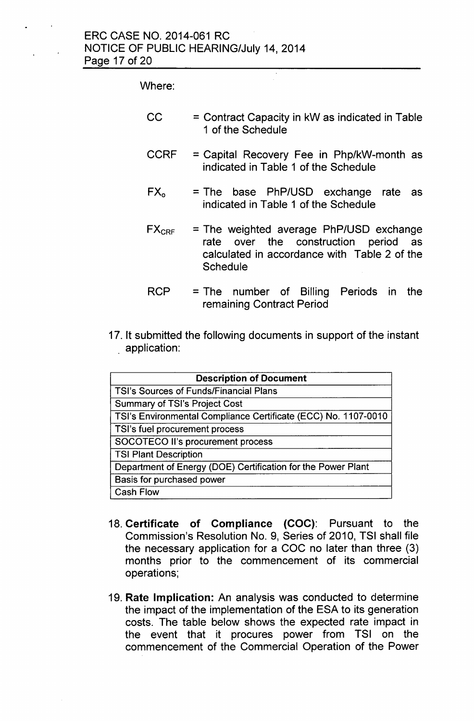# Where:

| CC | $=$ Contract Capacity in kW as indicated in Table |
|----|---------------------------------------------------|
|    | 1 of the Schedule                                 |

- CCRF = Capital Recovery Fee in Php/kW-month as indicated in Table 1 of the Schedule
- $FX<sub>o</sub>$  = The base PhP/USD exchange rate as indicated in Table 1 of the Schedule
- $FX_{CRF}$  = The weighted average PhP/USD exchange rate over the construction period as calculated in accordance with Table 2 of the **Schedule**
- RCP = The number of Billing Periods in the remaining Contract Period
- 17. It submitted the following documents in support of the instant . application:

| <b>Description of Document</b>                                 |  |  |
|----------------------------------------------------------------|--|--|
| <b>TSI's Sources of Funds/Financial Plans</b>                  |  |  |
| <b>Summary of TSI's Project Cost</b>                           |  |  |
| TSI's Environmental Compliance Certificate (ECC) No. 1107-0010 |  |  |
| TSI's fuel procurement process                                 |  |  |
| SOCOTECO II's procurement process                              |  |  |
| <b>TSI Plant Description</b>                                   |  |  |
| Department of Energy (DOE) Certification for the Power Plant   |  |  |
| Basis for purchased power                                      |  |  |
| <b>Cash Flow</b>                                               |  |  |

- 18. Certificate of Compliance (COC): Pursuant to the Commission's Resolution No. 9, Series of 2010, TSI shall file the necessary application for a COC no later than three (3) months prior to the commencement of its commercial operations;
- 19. Rate Implication: An analysis was conducted to determine the impact of the implementation of the ESA to its generation costs. The table below shows the expected rate impact in the event that it procures power from TSI on the commencement of the Commercial Operation of the Power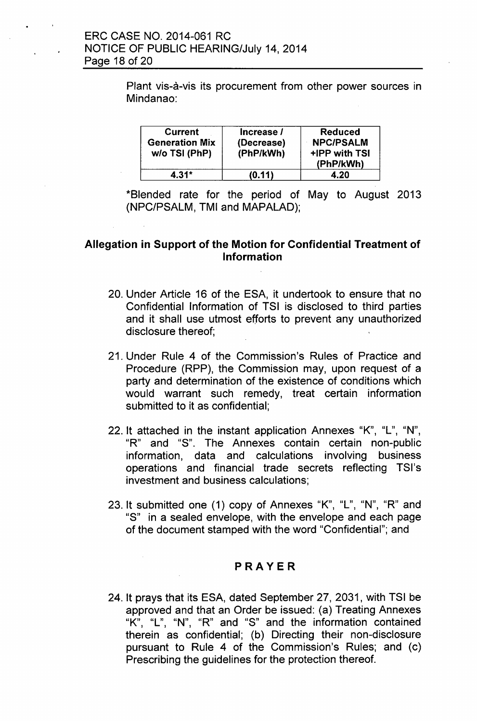Plant vis-à-vis its procurement from other power sources in Mindanao:

| <b>Current</b><br><b>Generation Mix</b><br>w/o TSI (PhP) | Increase /<br>(Decrease)<br>(PhP/kWh) | <b>Reduced</b><br><b>NPC/PSALM</b><br>+IPP with TSI<br>(PhP/kWh) |
|----------------------------------------------------------|---------------------------------------|------------------------------------------------------------------|
| 4.31*                                                    | (0.11)                                | 4.20                                                             |

\*Blended rate for the period of May to August 2013 (NPC/PSALM, TMI and MAPALAD);

# Allegation in Support of the Motion for Confidential Treatment of Information

- 20. Under Article 16 of the ESA, it undertook to ensure that no Confidential Information of TSI is disclosed to third parties and it shall use utmost *efforts* to prevent any unauthorized disclosure thereof;
- 21. Under Rule 4 of the Commission's Rules of Practice and Procedure (RPP), the Commission may, upon request of a party and determination of the existence of conditions which would warrant such remedy, treat certain information submitted to it as confidential;
- 22. It attached in the instant application Annexes "K", "L", "N", "R" and "S". The Annexes contain certain non-public information, data and calculations involving business operations and financial trade secrets reflecting TSI's investment and business calculations;
- 23. It submitted one (1) copy of Annexes "K", "L", "N", "R" and "S" in a sealed envelope, with the envelope and each page of the document stamped with the word "Confidential"; and

# PRAYER

24. It prays that its ESA, dated September 27,2031, with TSI be approved and that an Order be issued: (a) Treating Annexes "K", "L", "N", "R" and "S" and the information contained therein as confidential; (b) Directing their non-disclosure pursuant to Rule 4 of the Commission's Rules; and (c) Prescribing the guidelines for the protection thereof.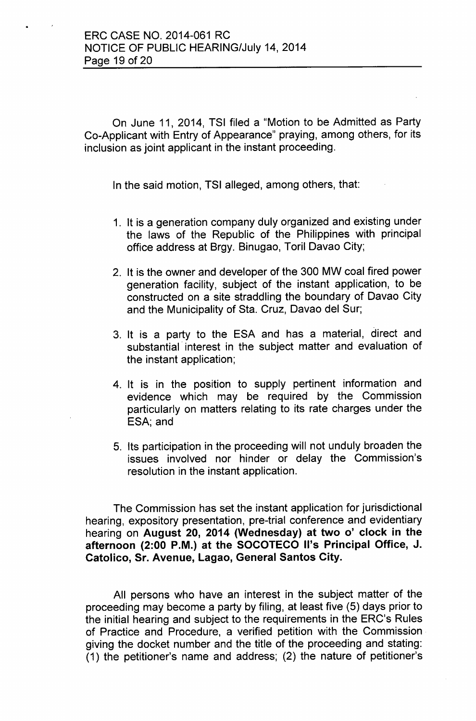On June 11, 2014, TSI filed a "Motion to be Admitted as Party Co-Applicant with Entry of Appearance" praying, among others, for its inclusion as joint applicant in the instant proceeding.

In the said motion, TSI alleged, among others, that:

- 1. It is a generation company duly organized and existing under the laws of the Republic of the Philippines with principal office address at Brgy. Binugao, Toril Davao City;
- 2. It is the owner and developer of the 300 MW coal fired power generation facility, subject of the instant application, to be constructed on a site straddling the boundary of Davao City and the Municipality of Sta. Cruz, Davao del Sur;
- 3. It is a party to the ESA and has a material, direct and substantial interest in the subject matter and evaluation of the instant application;
- 4. It is in the position to supply pertinent information and evidence which may be required by the Commission particularly on matters relating to its rate charges under the ESA; and
- 5. Its participation in the proceeding will not unduly broaden the issues involved nor hinder or delay the Commission's resolution in the instant application.

The Commission has set the instant application for jurisdictional hearing, expository presentation, pre-trial conference and evidentiary hearing on August 20, 2014 (Wednesday) at two 0' clock in the afternoon (2:00 P.M.) at the SOCOTECO II's Principal Office, J. Catolico, Sr. Avenue, Lagao, General Santos City.

All persons who have an interest in the subject matter of the proceeding may become a party by filing, at least five (5) days prior to the initial hearing and subject to the requirements in the ERC's Rules of Practice and Procedure, a verified petition with the Commission. giving the docket number and the title of the proceeding and stating: (1) the petitioner's name and address; (2) the nature of petitioner's